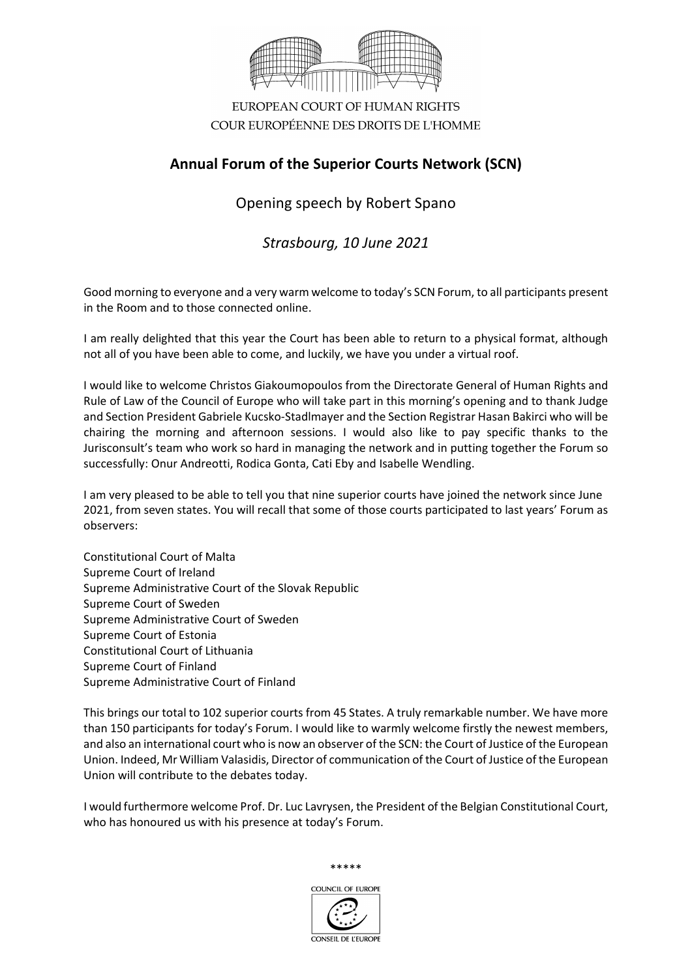

EUROPEAN COURT OF HUMAN RIGHTS COUR EUROPÉENNE DES DROITS DE L'HOMME

## **Annual Forum of the Superior Courts Network (SCN)**

Opening speech by Robert Spano

*Strasbourg, 10 June 2021* 

Good morning to everyone and a very warm welcome to today's SCN Forum, to all participants present in the Room and to those connected online.

I am really delighted that this year the Court has been able to return to a physical format, although not all of you have been able to come, and luckily, we have you under a virtual roof.

I would like to welcome Christos Giakoumopoulos from the Directorate General of Human Rights and Rule of Law of the Council of Europe who will take part in this morning's opening and to thank Judge and Section President Gabriele Kucsko-Stadlmayer and the Section Registrar Hasan Bakirci who will be chairing the morning and afternoon sessions. I would also like to pay specific thanks to the Jurisconsult's team who work so hard in managing the network and in putting together the Forum so successfully: Onur Andreotti, Rodica Gonta, Cati Eby and Isabelle Wendling.

I am very pleased to be able to tell you that nine superior courts have joined the network since June 2021, from seven states. You will recall that some of those courts participated to last years' Forum as observers:

Constitutional Court of Malta Supreme Court of Ireland Supreme Administrative Court of the Slovak Republic Supreme Court of Sweden Supreme Administrative Court of Sweden Supreme Court of Estonia Constitutional Court of Lithuania Supreme Court of Finland Supreme Administrative Court of Finland

This brings our total to 102 superior courts from 45 States. A truly remarkable number. We have more than 150 participants for today's Forum. I would like to warmly welcome firstly the newest members, and also an international court who is now an observer of the SCN: the Court of Justice of the European Union. Indeed, Mr William Valasidis, Director of communication of the Court of Justice of the European Union will contribute to the debates today.

I would furthermore welcome Prof. Dr. Luc Lavrysen, the President of the Belgian Constitutional Court, who has honoured us with his presence at today's Forum.



\*\*\*\*\*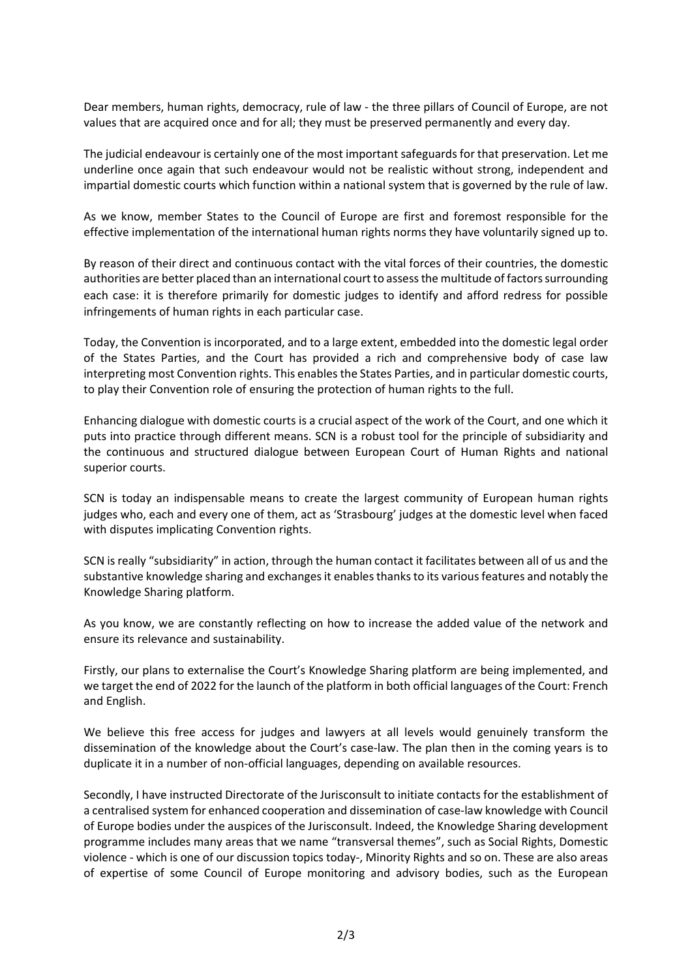Dear members, human rights, democracy, rule of law - the three pillars of Council of Europe, are not values that are acquired once and for all; they must be preserved permanently and every day.

The judicial endeavour is certainly one of the most important safeguards for that preservation. Let me underline once again that such endeavour would not be realistic without strong, independent and impartial domestic courts which function within a national system that is governed by the rule of law.

As we know, member States to the Council of Europe are first and foremost responsible for the effective implementation of the international human rights norms they have voluntarily signed up to.

By reason of their direct and continuous contact with the vital forces of their countries, the domestic authorities are better placed than an international court to assess the multitude of factors surrounding each case: it is therefore primarily for domestic judges to identify and afford redress for possible infringements of human rights in each particular case.

Today, the Convention is incorporated, and to a large extent, embedded into the domestic legal order of the States Parties, and the Court has provided a rich and comprehensive body of case law interpreting most Convention rights. This enables the States Parties, and in particular domestic courts, to play their Convention role of ensuring the protection of human rights to the full.

Enhancing dialogue with domestic courts is a crucial aspect of the work of the Court, and one which it puts into practice through different means. SCN is a robust tool for the principle of subsidiarity and the continuous and structured dialogue between European Court of Human Rights and national superior courts.

SCN is today an indispensable means to create the largest community of European human rights judges who, each and every one of them, act as 'Strasbourg' judges at the domestic level when faced with disputes implicating Convention rights.

SCN is really "subsidiarity" in action, through the human contact it facilitates between all of us and the substantive knowledge sharing and exchanges it enables thanks to its various features and notably the Knowledge Sharing platform.

As you know, we are constantly reflecting on how to increase the added value of the network and ensure its relevance and sustainability.

Firstly, our plans to externalise the Court's Knowledge Sharing platform are being implemented, and we target the end of 2022 for the launch of the platform in both official languages of the Court: French and English.

We believe this free access for judges and lawyers at all levels would genuinely transform the dissemination of the knowledge about the Court's case-law. The plan then in the coming years is to duplicate it in a number of non-official languages, depending on available resources.

Secondly, I have instructed Directorate of the Jurisconsult to initiate contacts for the establishment of a centralised system for enhanced cooperation and dissemination of case-law knowledge with Council of Europe bodies under the auspices of the Jurisconsult. Indeed, the Knowledge Sharing development programme includes many areas that we name "transversal themes", such as Social Rights, Domestic violence - which is one of our discussion topics today-, Minority Rights and so on. These are also areas of expertise of some Council of Europe monitoring and advisory bodies, such as the European